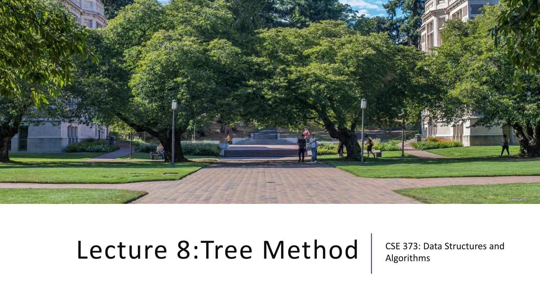

# Lecture 8:Tree Method | CSE 373: Data Structures and

Algorithms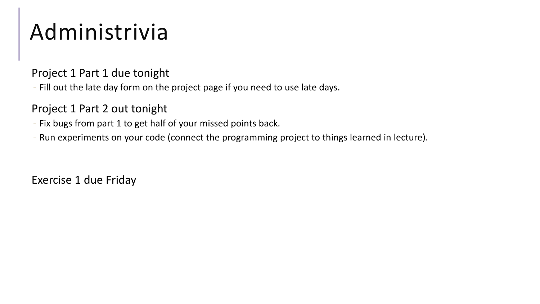# Administrivia

#### Project 1 Part 1 due tonight

- Fill out the late day form on the project page if you need to use late days.

#### Project 1 Part 2 out tonight

- Fix bugs from part 1 to get half of your missed points back.
- Run experiments on your code (connect the programming project to things learned in lecture).

Exercise 1 due Friday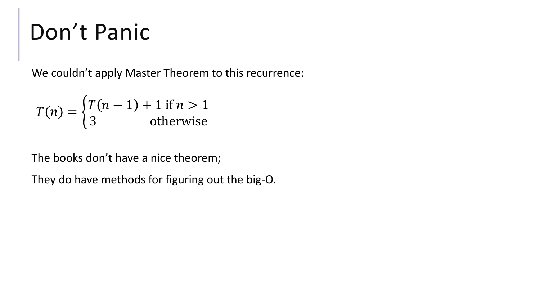# Don't Panic

We couldn't apply Master Theorem to this recurrence:

$$
T(n) = \begin{cases} T(n-1) + 1 \text{ if } n > 1\\ 3 \text{ otherwise} \end{cases}
$$

The books don't have a nice theorem;

They do have methods for figuring out the big-O.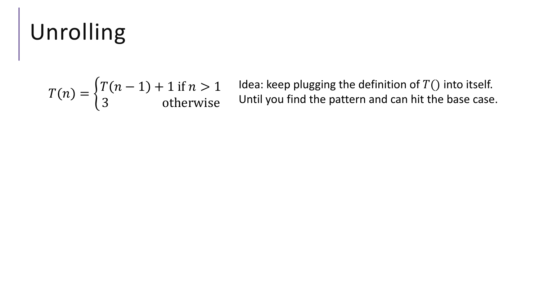# Unrolling

$$
T(n) = \begin{cases} T(n-1) + 1 \text{ if } n > 1\\ 3 \text{ otherwise} \end{cases}
$$

Idea: keep plugging the definition of  $T()$  into itself. Until you find the pattern and can hit the base case.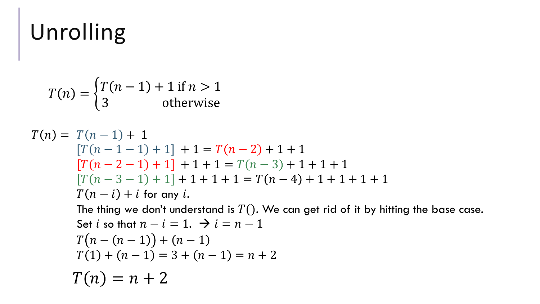# Unrolling

$$
T(n) = \begin{cases} T(n-1) + 1 & \text{if } n > 1 \\ 3 & \text{otherwise} \end{cases}
$$

$$
T(n) = T(n-1) + 1
$$
  
\n
$$
[T(n-1-1) + 1] + 1 = T(n-2) + 1 + 1
$$
  
\n
$$
[T(n-2-1) + 1] + 1 + 1 = T(n-3) + 1 + 1 + 1
$$
  
\n
$$
[T(n-3-1) + 1] + 1 + 1 + 1 = T(n-4) + 1 + 1 + 1 + 1
$$
  
\n
$$
T(n-i) + i \text{ for any } i.
$$
  
\nThe thing we don't understand is  $T()$ . We can get rid of it by hitting the base case.

Set *l* so that 
$$
n - l = 1
$$
.  $\rightarrow l = n - 1$   
\n
$$
T(n - (n - 1)) + (n - 1)
$$
\n
$$
T(1) + (n - 1) = 3 + (n - 1) = n + 2
$$
\n
$$
T(n) = n + 2
$$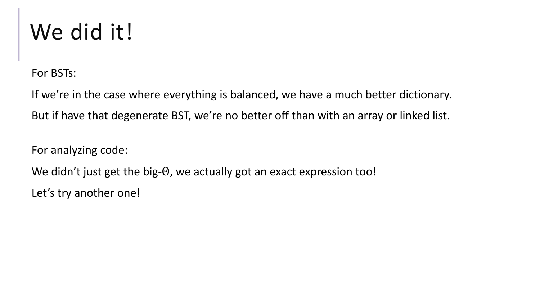# We did it!

For BSTs:

If we're in the case where everything is balanced, we have a much better dictionary. But if have that degenerate BST, we're no better off than with an array or linked list.

For analyzing code:

We didn't just get the big-Θ, we actually got an exact expression too!

Let's try another one!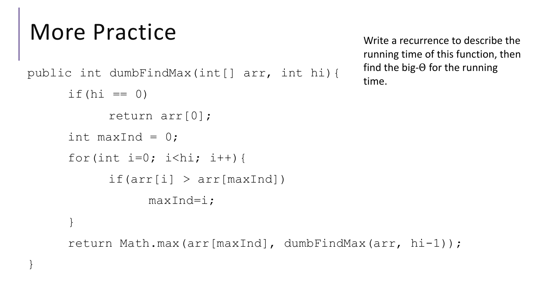## More Practice

}

```
public int dumbFindMax(int[] arr, int hi){
if (hi == 0)return arr[0];
int maxInd = 0;
for(int i=0; i<hi; i++){
      if(ar[i] > arr[maxInd])maxInd=i;
}
```
Write a recurrence to describe the running time of this function, then find the big-Θ for the running time.

```
return Math.max(arr[maxInd], dumbFindMax(arr, hi-1));
```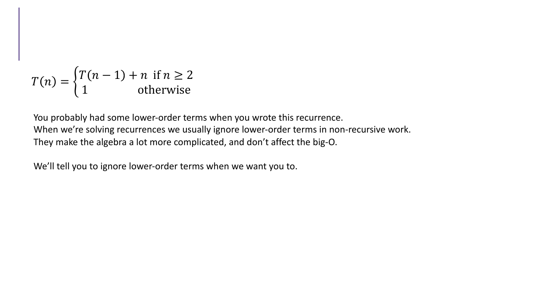$$
T(n) = \begin{cases} T(n-1) + n & \text{if } n \ge 2\\ 1 & \text{otherwise} \end{cases}
$$

You probably had some lower-order terms when you wrote this recurrence. When we're solving recurrences we usually ignore lower-order terms in non-recursive work. They make the algebra a lot more complicated, and don't affect the big-O.

We'll tell you to ignore lower-order terms when we want you to.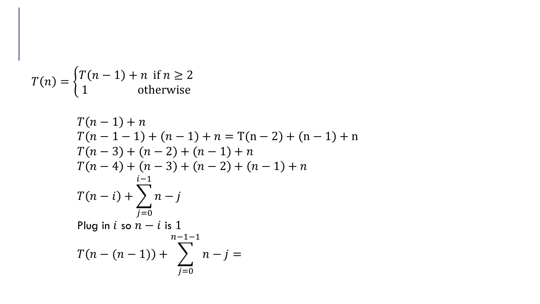$$
T(n) = \begin{cases} T(n-1) + n & \text{if } n \ge 2\\ 1 & \text{otherwise} \end{cases}
$$

$$
T(n-1) + n
$$
  
\n
$$
T(n-1-1) + (n-1) + n = T(n-2) + (n-1) + n
$$
  
\n
$$
T(n-3) + (n-2) + (n-1) + n
$$
  
\n
$$
T(n-4) + (n-3) + (n-2) + (n-1) + n
$$
  
\n
$$
T(n-i) + \sum_{j=0}^{i-1} n - j
$$
  
\nPlug in *i* so  $n-i$  is 1  
\n
$$
n-1-1
$$
  
\n
$$
T(n-(n-1)) + \sum_{j=0}^{n-1-1} n - j =
$$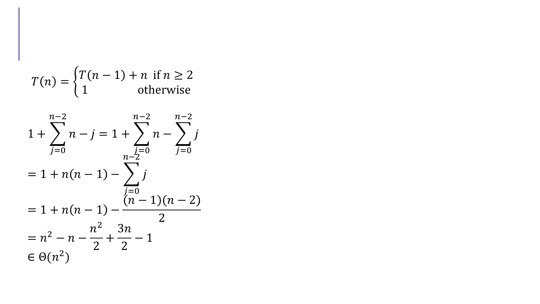$$
T(n) = \begin{cases} T(n-1) + n & \text{if } n \ge 2\\ 1 & \text{otherwise} \end{cases}
$$

$$
1 + \sum_{j=0}^{n-2} n - j = 1 + \sum_{\substack{j=0 \ n-2 \ j \neq 0}}^{n-2} n - \sum_{j=0}^{n-2} j
$$
  
= 1 + n(n - 1) - 
$$
\sum_{\substack{j=0 \ n-1 \ n \neq 0}}^{n-2} j
$$
  
= 1 + n(n - 1) - 
$$
\frac{(n - 1)(n - 2)}{2}
$$
  
= n<sup>2</sup> - n - 
$$
\frac{n^2}{2} + \frac{3n}{2} - 1
$$
  

$$
\in \Theta(n^2)
$$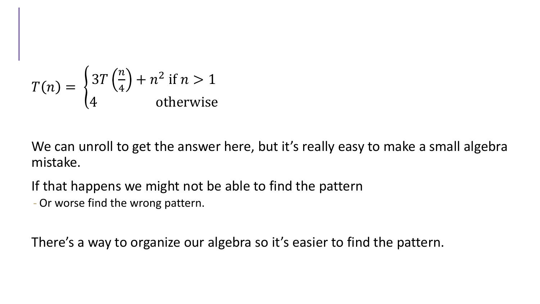$$
T(n) = \begin{cases} 3T\left(\frac{n}{4}\right) + n^2 \text{ if } n > 1\\ 4 \qquad \text{otherwise} \end{cases}
$$

We can unroll to get the answer here, but it's really easy to make a small algebra mistake.

If that happens we might not be able to find the pattern

- Or worse find the wrong pattern.

There's a way to organize our algebra so it's easier to find the pattern.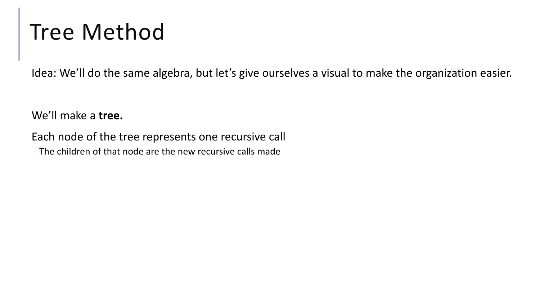### Tree Method

Idea: We'll do the same algebra, but let's give ourselves a visual to make the organization easier.

We'll make a **tree.**

Each node of the tree represents one recursive call

- The children of that node are the new recursive calls made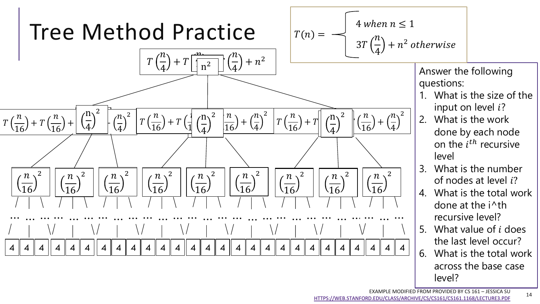

[HTTPS://WEB.STANFORD.EDU/CLASS/ARCHIVE/CS/CS161/CS161.1168/LECTURE3.PDF](https://web.stanford.edu/class/archive/cs/cs161/cs161.1168/lecture3.pdf)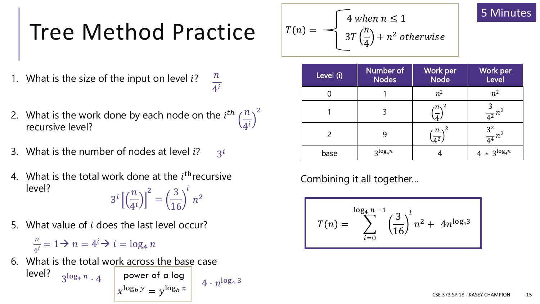- 1. What is the size of the input on level  $i$ ?  $\frac{n}{4^i}$
- 2. What is the work done by each node on the  $i^{th} \left(\frac{n}{4^i}\right)^2$  recursive level?
- What is the number of nodes at level i? 3.  $3^{i}$
- What is the total work done at the  $i^{\text{th}}$  recursive 4. level?  $3^{i}\left[\left(\frac{n}{4^{i}}\right)\right]^{2}=\left(\frac{3}{16}\right)^{i}n^{2}$
- What value of *i* does the last level occur?  $5<sup>1</sup>$

 $\frac{n}{4i} = 1 \rightarrow n = 4^i \rightarrow i = \log_4 n$ 

What is the total work across the base case 6. level?  $3^{\log_4 n} \cdot 4$  power of a log  $4\cdot n^{\log_4 3}$ 

 $x^{\log_b y} = y^{\log_b x}$ 

$$
T(n) = \sqrt{\frac{4 \text{ when } n \le 1}{3T(\frac{n}{4}) + n^2 \text{ otherwise}}}
$$

| Level (i) | Number of<br><b>Nodes</b> | Work per<br><b>Node</b>   | Work per<br>Level  |
|-----------|---------------------------|---------------------------|--------------------|
|           |                           | $n^2$                     | $n^2$              |
|           |                           | $n^2$<br>$\overline{A}$ ) | $\frac{3}{4^2}n^2$ |
|           |                           | $\frac{n}{4^2}$           | $rac{3^2}{4^4}n^2$ |
| base      | $3^{\log_4 n}$            |                           | $4 * 3^{\log_4 n}$ |

Combining it all together...

$$
T(n) = \sum_{i=0}^{\log_4 n - 1} \left(\frac{3}{16}\right)^i n^2 + 4n^{\log_4 3}
$$

#### 5 Minutes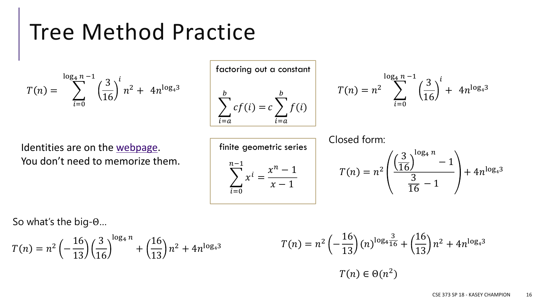$$
T(n) = \sum_{i=0}^{\log_4 n - 1} \left(\frac{3}{16}\right)^i n^2 + 4n^{\log_4 3}
$$

 $log_4 n - 1$ 

Identities are on the [webpage.](https://courses.cs.washington.edu/courses/cse373/19su/resources/) You don't need to memorize them.

So what's the big-Θ…

$$
T(n) = n^2 \left(-\frac{16}{13}\right) \left(\frac{3}{16}\right)^{\log_4 n} + \left(\frac{16}{13}\right) n^2 + 4n^{\log_4 3}
$$

$$
T(n) = n^{2} \left(-\frac{16}{13}\right)(n)^{\log_{4} \frac{3}{16}} + \left(\frac{16}{13}\right)n^{2} + 4n^{\log_{4} 3}
$$

$$
T(n) \in \Theta(n^{2})
$$

 $\sum$  $i=0$  $n-1$  $x^i =$  $x^n-1$  $x - 1$ finite geometric series

 $T(n) = n^2$ 3 16  $\log_4 n$ − 1 3  $\frac{5}{16}$  – 1  $+ 4n^{\log_4 3}$ Closed form:

factoring out a constant  
\n
$$
\sum_{i=a}^{b} cf(i) = c \sum_{i=a}^{b} f(i)
$$

$$
T(n) = n^{2} \sum_{i=0}^{\log_4 n - 1} \left(\frac{3}{16}\right)^{i} + 4n^{\log_4 3}
$$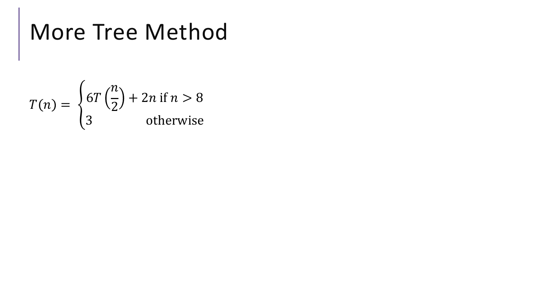# More Tree Method

$$
T(n) = \begin{cases} 6T\left(\frac{n}{2}\right) + 2n & \text{if } n > 8\\ 3 & \text{otherwise} \end{cases}
$$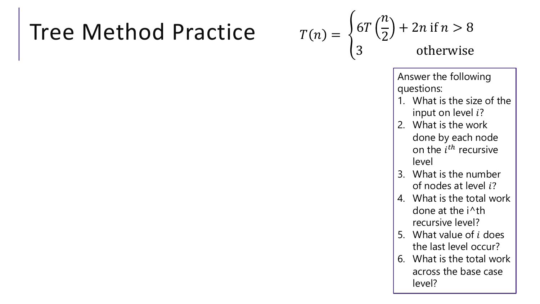$$
T(n) = \begin{cases} 6T\left(\frac{n}{2}\right) + 2n \text{ if } n > 8\\ 3 \text{ otherwise} \end{cases}
$$

Answer the following questions:

- 1. What is the size of the input on level  $i$ ?
- 2. What is the work done by each node on the  $i^{th}$  recursive level
- 3. What is the number of nodes at level  $i$ ?
- 4. What is the total work done at the i^th recursive level?
- 5. What value of  *does* the last level occur?
- 6. What is the total work across the base case level?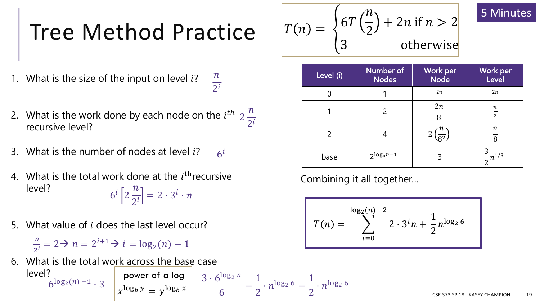- 1. What is the size of the input on level  $i$ ?  $\overline{n}$  $2^{i}$
- 2. What is the work done by each node on the  $i^{th}$  2 recursive level?  $\overline{n}$  $2^{i}$
- 3. What is the number of nodes at level  $i$ ?  $6^{i}$
- 4. What is the total work done at the  $i^{\text{th}}$  recursive level?  $6^i$  2  $\overline{n}$  $2^{i}$  $= 2 \cdot 3^i \cdot n$
- 5. What value of  $i$  does the last level occur?

 $\overline{n}$  $\frac{n}{2^i} = 2 \rightarrow n = 2^{i+1} \rightarrow i = \log_2(n) - 1$ 

6. What is the total work across the base case level?

$$
6^{\log_2(n)-1} \cdot 3
$$
 power of a log  
 $x^{\log_b y} = y^{\log_b x}$   $\frac{3 \cdot 6^{\log_2 n}}{6} = \frac{1}{2} \cdot n^{\log_2 6} = \frac{1}{2} \cdot n^{\log_2 6}$ 

$$
T(n) = \begin{cases} 6T\left(\frac{n}{2}\right) + 2n & \text{if } n > 2\\ 3 & \text{otherwise} \end{cases}
$$

| Level (i) | Number of<br><b>Nodes</b> | Work per<br><b>Node</b> | Work per<br>Level           |
|-----------|---------------------------|-------------------------|-----------------------------|
|           |                           | 2n                      | 2n                          |
|           |                           | 2n<br>$\overline{8}$    | $\, n \,$<br>$\overline{2}$ |
|           |                           | $\overline{R^2}$        | $\, n$<br>$\overline{8}$    |
| base      | $2^{\log_8 n - 1}$        |                         | $\frac{3}{2}n^{1/3}$        |

Combining it all together…

$$
T(n) = \sum_{i=0}^{\log_2(n)-2} 2 \cdot 3^i n + \frac{1}{2} n^{\log_2 6}
$$

5 Minutes